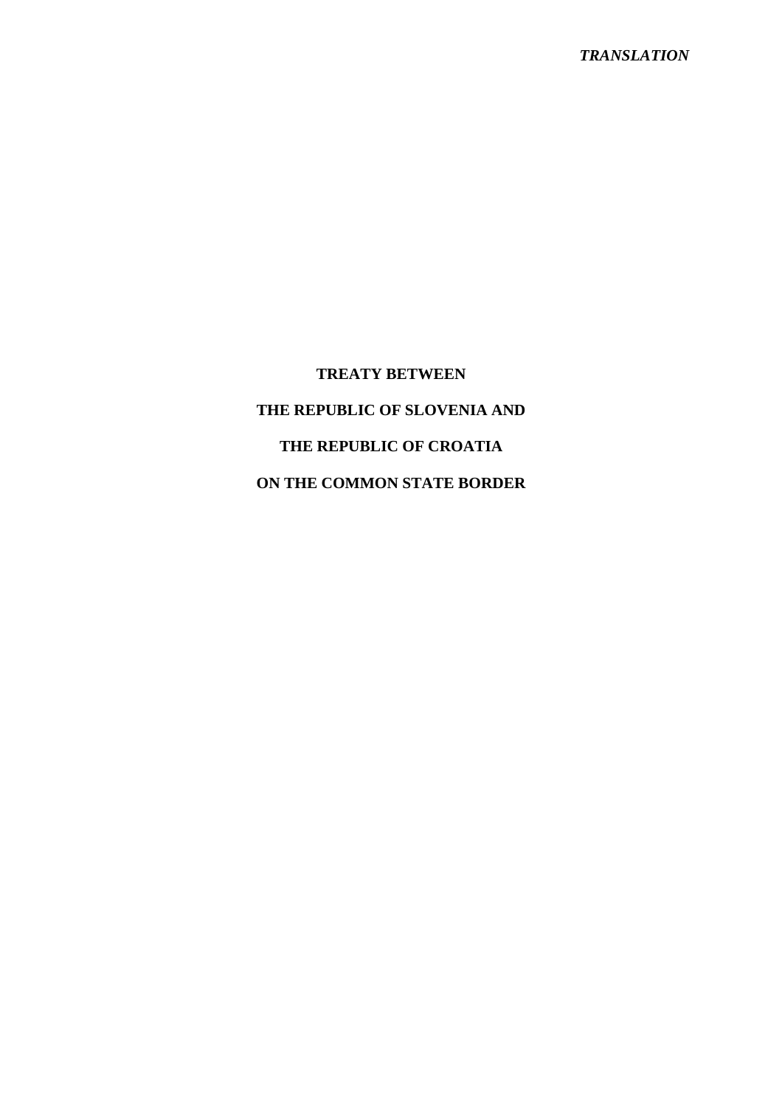# **TREATY BETWEEN THE REPUBLIC OF SLOVENIA AND THE REPUBLIC OF CROATIA ON THE COMMON STATE BORDER**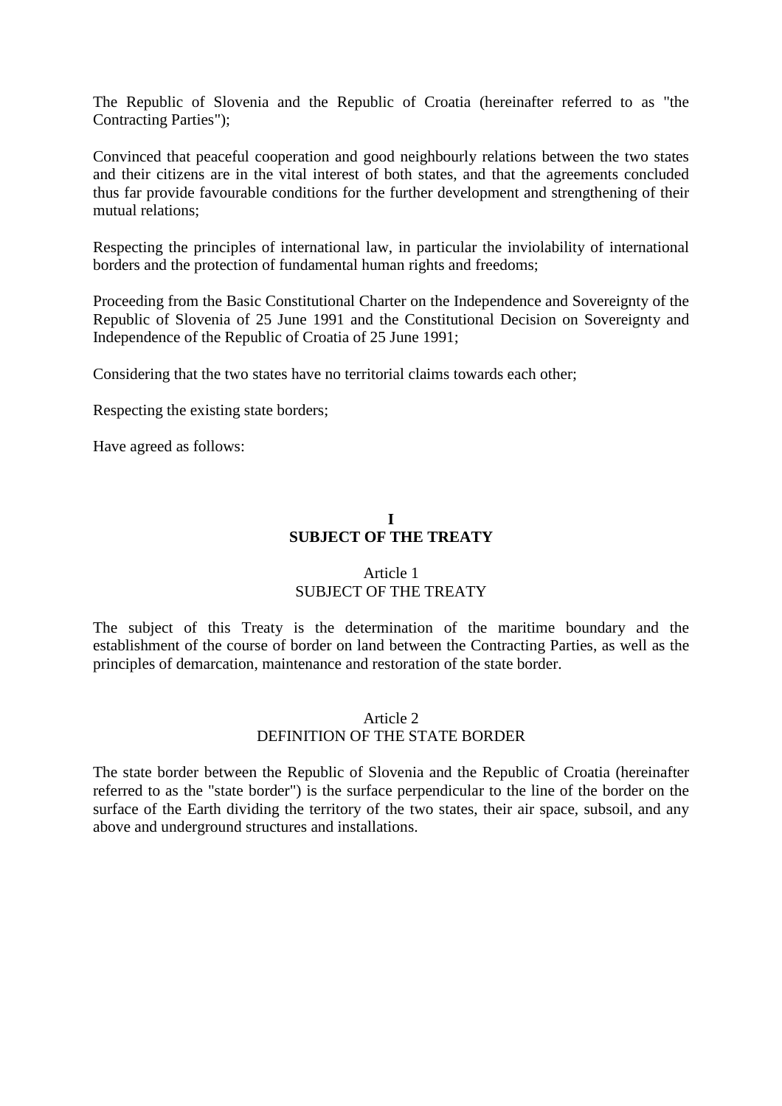The Republic of Slovenia and the Republic of Croatia (hereinafter referred to as "the Contracting Parties");

Convinced that peaceful cooperation and good neighbourly relations between the two states and their citizens are in the vital interest of both states, and that the agreements concluded thus far provide favourable conditions for the further development and strengthening of their mutual relations;

Respecting the principles of international law, in particular the inviolability of international borders and the protection of fundamental human rights and freedoms;

Proceeding from the Basic Constitutional Charter on the Independence and Sovereignty of the Republic of Slovenia of 25 June 1991 and the Constitutional Decision on Sovereignty and Independence of the Republic of Croatia of 25 June 1991;

Considering that the two states have no territorial claims towards each other;

Respecting the existing state borders;

Have agreed as follows:

## **I SUBJECT OF THE TREATY**

## Article 1 SUBJECT OF THE TREATY

The subject of this Treaty is the determination of the maritime boundary and the establishment of the course of border on land between the Contracting Parties, as well as the principles of demarcation, maintenance and restoration of the state border.

## Article 2 DEFINITION OF THE STATE BORDER

The state border between the Republic of Slovenia and the Republic of Croatia (hereinafter referred to as the "state border") is the surface perpendicular to the line of the border on the surface of the Earth dividing the territory of the two states, their air space, subsoil, and any above and underground structures and installations.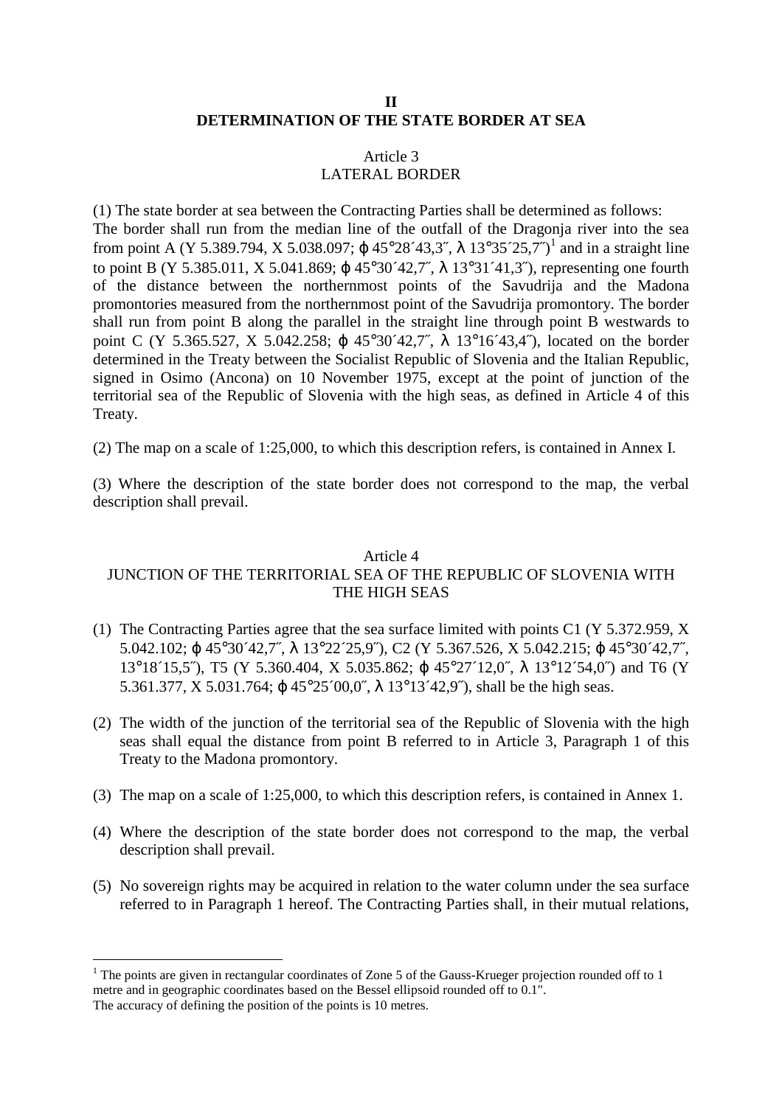## **II DETERMINATION OF THE STATE BORDER AT SEA**

## Article 3 LATERAL BORDER

(1) The state border at sea between the Contracting Parties shall be determined as follows: The border shall run from the median line of the outfall of the Dragonja river into the sea from point A (Y 5.389.794, X 5.038.097;  $\varphi$  45°28´43,3<sup>\*</sup>,  $\lambda$  13°35´25,7<sup>\*</sup>)<sup>1</sup> and in a straight line to point B (Y 5.385.011, X 5.041.869;  $\omega$  45°30′42,7″,  $\lambda$  13°31′41,3″), representing one fourth of the distance between the northernmost points of the Savudrija and the Madona promontories measured from the northernmost point of the Savudrija promontory. The border shall run from point B along the parallel in the straight line through point B westwards to point C (Y 5.365.527, X 5.042.258; ϕ 45°30´42,7˝, λ 13°16´43,4˝), located on the border determined in the Treaty between the Socialist Republic of Slovenia and the Italian Republic, signed in Osimo (Ancona) on 10 November 1975, except at the point of junction of the territorial sea of the Republic of Slovenia with the high seas, as defined in Article 4 of this Treaty.

(2) The map on a scale of 1:25,000, to which this description refers, is contained in Annex I.

(3) Where the description of the state border does not correspond to the map, the verbal description shall prevail.

# Article 4

# JUNCTION OF THE TERRITORIAL SEA OF THE REPUBLIC OF SLOVENIA WITH THE HIGH SEAS

- (1) The Contracting Parties agree that the sea surface limited with points C1 (Y 5.372.959, X 5.042.102; ϕ 45°30´42,7˝, λ 13°22´25,9˝), C2 (Y 5.367.526, X 5.042.215; ϕ 45°30´42,7˝, 13°18´15,5˝), T5 (Y 5.360.404, X 5.035.862; ϕ 45°27´12,0˝, λ 13°12´54,0˝) and T6 (Y 5.361.377, X 5.031.764; ϕ 45°25´00,0˝, λ 13°13´42,9˝), shall be the high seas.
- (2) The width of the junction of the territorial sea of the Republic of Slovenia with the high seas shall equal the distance from point B referred to in Article 3, Paragraph 1 of this Treaty to the Madona promontory.
- (3) The map on a scale of 1:25,000, to which this description refers, is contained in Annex 1.
- (4) Where the description of the state border does not correspond to the map, the verbal description shall prevail.
- (5) No sovereign rights may be acquired in relation to the water column under the sea surface referred to in Paragraph 1 hereof. The Contracting Parties shall, in their mutual relations,

 $\overline{a}$ 

<sup>&</sup>lt;sup>1</sup> The points are given in rectangular coordinates of Zone 5 of the Gauss-Krueger projection rounded off to 1 metre and in geographic coordinates based on the Bessel ellipsoid rounded off to 0.1". The accuracy of defining the position of the points is 10 metres.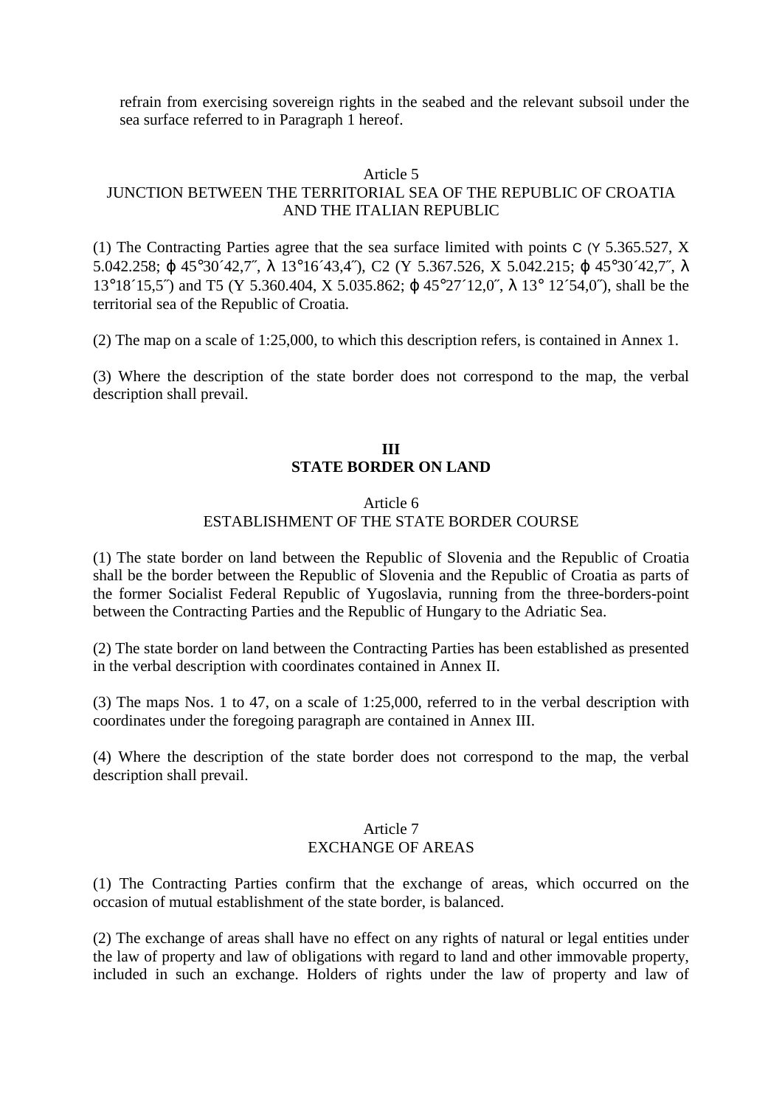refrain from exercising sovereign rights in the seabed and the relevant subsoil under the sea surface referred to in Paragraph 1 hereof.

#### Article 5

# JUNCTION BETWEEN THE TERRITORIAL SEA OF THE REPUBLIC OF CROATIA AND THE ITALIAN REPUBLIC

(1) The Contracting Parties agree that the sea surface limited with points C (Y 5.365.527, X 5.042.258; ϕ 45°30´42,7˝, λ 13°16´43,4˝), C2 (Y 5.367.526, X 5.042.215; ϕ 45°30´42,7˝, λ 13°18´15,5˝) and T5 (Y 5.360.404, X 5.035.862; ϕ 45°27´12,0˝, λ 13° 12´54,0˝), shall be the territorial sea of the Republic of Croatia.

(2) The map on a scale of 1:25,000, to which this description refers, is contained in Annex 1.

(3) Where the description of the state border does not correspond to the map, the verbal description shall prevail.

# **III STATE BORDER ON LAND**

## Article 6 ESTABLISHMENT OF THE STATE BORDER COURSE

(1) The state border on land between the Republic of Slovenia and the Republic of Croatia shall be the border between the Republic of Slovenia and the Republic of Croatia as parts of the former Socialist Federal Republic of Yugoslavia, running from the three-borders-point between the Contracting Parties and the Republic of Hungary to the Adriatic Sea.

(2) The state border on land between the Contracting Parties has been established as presented in the verbal description with coordinates contained in Annex II.

(3) The maps Nos. 1 to 47, on a scale of 1:25,000, referred to in the verbal description with coordinates under the foregoing paragraph are contained in Annex III.

(4) Where the description of the state border does not correspond to the map, the verbal description shall prevail.

## Article 7 EXCHANGE OF AREAS

(1) The Contracting Parties confirm that the exchange of areas, which occurred on the occasion of mutual establishment of the state border, is balanced.

(2) The exchange of areas shall have no effect on any rights of natural or legal entities under the law of property and law of obligations with regard to land and other immovable property, included in such an exchange. Holders of rights under the law of property and law of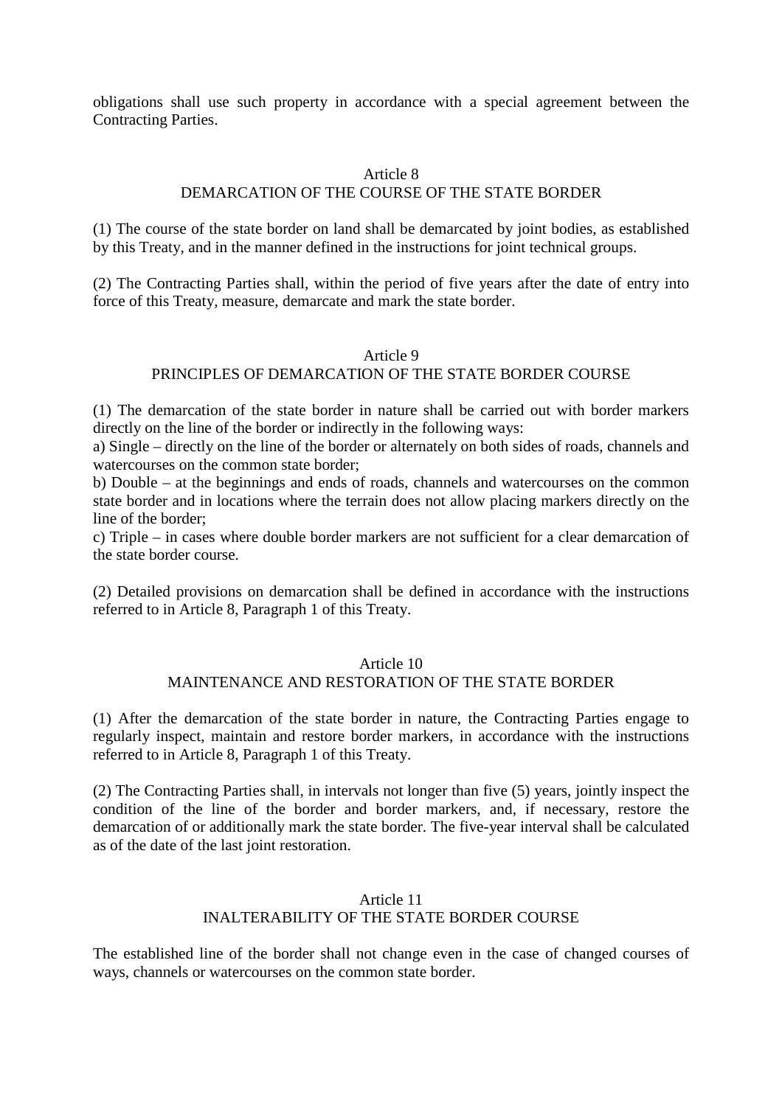obligations shall use such property in accordance with a special agreement between the Contracting Parties.

# Article 8 DEMARCATION OF THE COURSE OF THE STATE BORDER

(1) The course of the state border on land shall be demarcated by joint bodies, as established by this Treaty, and in the manner defined in the instructions for joint technical groups.

(2) The Contracting Parties shall, within the period of five years after the date of entry into force of this Treaty, measure, demarcate and mark the state border.

## Article 9 PRINCIPLES OF DEMARCATION OF THE STATE BORDER COURSE

(1) The demarcation of the state border in nature shall be carried out with border markers directly on the line of the border or indirectly in the following ways:

a) Single – directly on the line of the border or alternately on both sides of roads, channels and watercourses on the common state border;

b) Double – at the beginnings and ends of roads, channels and watercourses on the common state border and in locations where the terrain does not allow placing markers directly on the line of the border;

c) Triple – in cases where double border markers are not sufficient for a clear demarcation of the state border course.

(2) Detailed provisions on demarcation shall be defined in accordance with the instructions referred to in Article 8, Paragraph 1 of this Treaty.

#### Article 10

## MAINTENANCE AND RESTORATION OF THE STATE BORDER

(1) After the demarcation of the state border in nature, the Contracting Parties engage to regularly inspect, maintain and restore border markers, in accordance with the instructions referred to in Article 8, Paragraph 1 of this Treaty.

(2) The Contracting Parties shall, in intervals not longer than five (5) years, jointly inspect the condition of the line of the border and border markers, and, if necessary, restore the demarcation of or additionally mark the state border. The five-year interval shall be calculated as of the date of the last joint restoration.

## Article 11 INALTERABILITY OF THE STATE BORDER COURSE

The established line of the border shall not change even in the case of changed courses of ways, channels or watercourses on the common state border.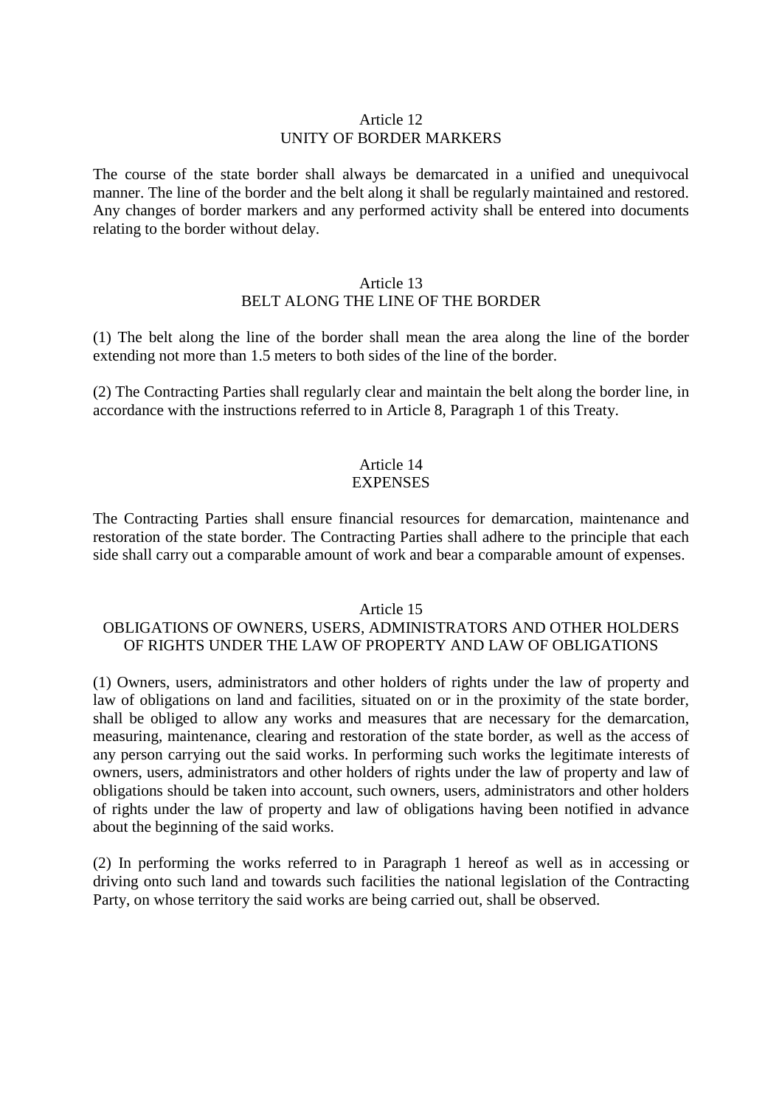## Article 12 UNITY OF BORDER MARKERS

The course of the state border shall always be demarcated in a unified and unequivocal manner. The line of the border and the belt along it shall be regularly maintained and restored. Any changes of border markers and any performed activity shall be entered into documents relating to the border without delay.

#### Article 13

## BELT ALONG THE LINE OF THE BORDER

(1) The belt along the line of the border shall mean the area along the line of the border extending not more than 1.5 meters to both sides of the line of the border.

(2) The Contracting Parties shall regularly clear and maintain the belt along the border line, in accordance with the instructions referred to in Article 8, Paragraph 1 of this Treaty.

#### Article 14 **EXPENSES**

The Contracting Parties shall ensure financial resources for demarcation, maintenance and restoration of the state border. The Contracting Parties shall adhere to the principle that each side shall carry out a comparable amount of work and bear a comparable amount of expenses.

#### Article 15

## OBLIGATIONS OF OWNERS, USERS, ADMINISTRATORS AND OTHER HOLDERS OF RIGHTS UNDER THE LAW OF PROPERTY AND LAW OF OBLIGATIONS

(1) Owners, users, administrators and other holders of rights under the law of property and law of obligations on land and facilities, situated on or in the proximity of the state border, shall be obliged to allow any works and measures that are necessary for the demarcation, measuring, maintenance, clearing and restoration of the state border, as well as the access of any person carrying out the said works. In performing such works the legitimate interests of owners, users, administrators and other holders of rights under the law of property and law of obligations should be taken into account, such owners, users, administrators and other holders of rights under the law of property and law of obligations having been notified in advance about the beginning of the said works.

(2) In performing the works referred to in Paragraph 1 hereof as well as in accessing or driving onto such land and towards such facilities the national legislation of the Contracting Party, on whose territory the said works are being carried out, shall be observed.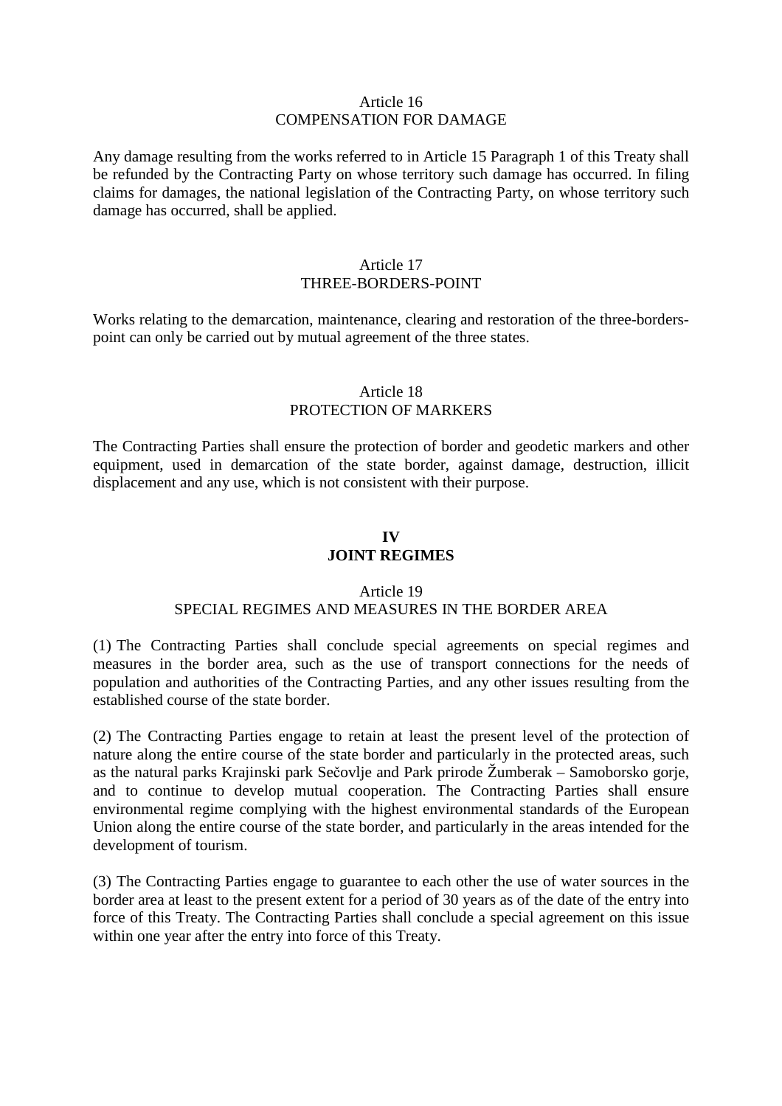#### Article 16 COMPENSATION FOR DAMAGE

Any damage resulting from the works referred to in Article 15 Paragraph 1 of this Treaty shall be refunded by the Contracting Party on whose territory such damage has occurred. In filing claims for damages, the national legislation of the Contracting Party, on whose territory such damage has occurred, shall be applied.

#### Article 17 THREE-BORDERS-POINT

Works relating to the demarcation, maintenance, clearing and restoration of the three-borderspoint can only be carried out by mutual agreement of the three states.

# Article 18 PROTECTION OF MARKERS

The Contracting Parties shall ensure the protection of border and geodetic markers and other equipment, used in demarcation of the state border, against damage, destruction, illicit displacement and any use, which is not consistent with their purpose.

# **IV JOINT REGIMES**

## Article 19

# SPECIAL REGIMES AND MEASURES IN THE BORDER AREA

(1) The Contracting Parties shall conclude special agreements on special regimes and measures in the border area, such as the use of transport connections for the needs of population and authorities of the Contracting Parties, and any other issues resulting from the established course of the state border.

(2) The Contracting Parties engage to retain at least the present level of the protection of nature along the entire course of the state border and particularly in the protected areas, such as the natural parks Krajinski park Sečovlje and Park prirode Žumberak – Samoborsko gorje, and to continue to develop mutual cooperation. The Contracting Parties shall ensure environmental regime complying with the highest environmental standards of the European Union along the entire course of the state border, and particularly in the areas intended for the development of tourism.

(3) The Contracting Parties engage to guarantee to each other the use of water sources in the border area at least to the present extent for a period of 30 years as of the date of the entry into force of this Treaty. The Contracting Parties shall conclude a special agreement on this issue within one year after the entry into force of this Treaty.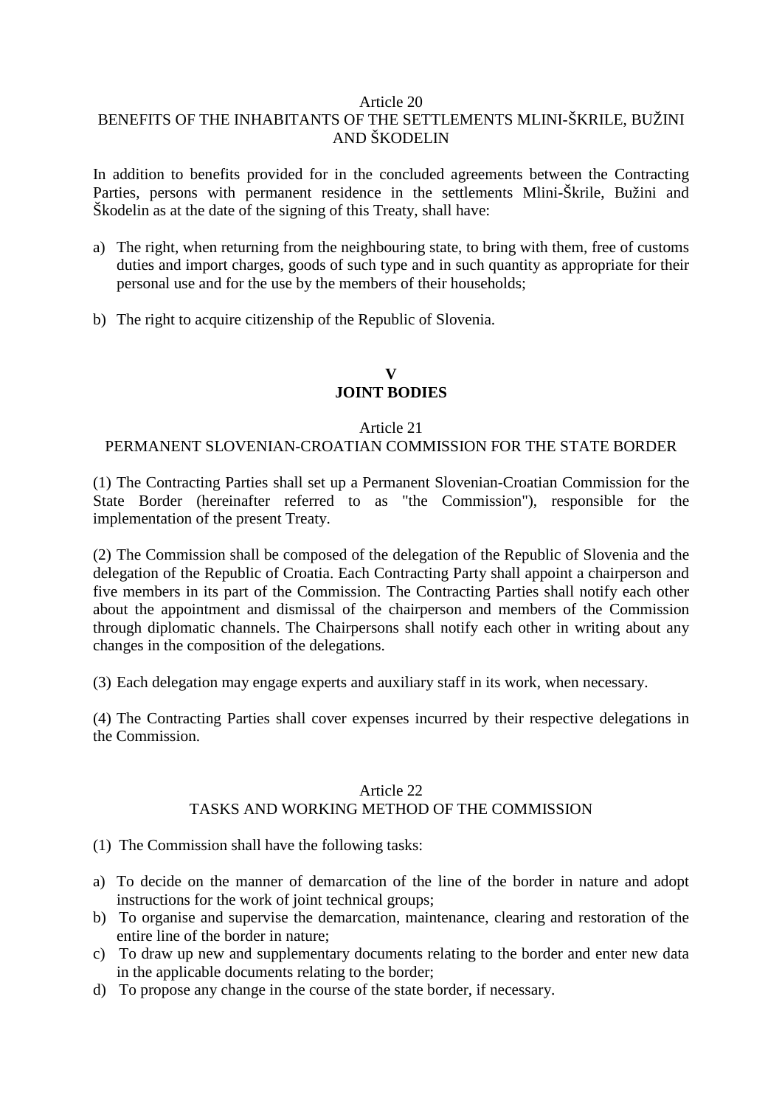#### Article 20

# BENEFITS OF THE INHABITANTS OF THE SETTLEMENTS MLINI-ŠKRILE, BUŽINI AND ŠKODELIN

In addition to benefits provided for in the concluded agreements between the Contracting Parties, persons with permanent residence in the settlements Mlini-Škrile, Bužini and Škodelin as at the date of the signing of this Treaty, shall have:

- a) The right, when returning from the neighbouring state, to bring with them, free of customs duties and import charges, goods of such type and in such quantity as appropriate for their personal use and for the use by the members of their households;
- b) The right to acquire citizenship of the Republic of Slovenia.

## **V JOINT BODIES**

## Article 21

## PERMANENT SLOVENIAN-CROATIAN COMMISSION FOR THE STATE BORDER

(1) The Contracting Parties shall set up a Permanent Slovenian-Croatian Commission for the State Border (hereinafter referred to as "the Commission"), responsible for the implementation of the present Treaty.

(2) The Commission shall be composed of the delegation of the Republic of Slovenia and the delegation of the Republic of Croatia. Each Contracting Party shall appoint a chairperson and five members in its part of the Commission. The Contracting Parties shall notify each other about the appointment and dismissal of the chairperson and members of the Commission through diplomatic channels. The Chairpersons shall notify each other in writing about any changes in the composition of the delegations.

(3) Each delegation may engage experts and auxiliary staff in its work, when necessary.

(4) The Contracting Parties shall cover expenses incurred by their respective delegations in the Commission.

## Article 22 TASKS AND WORKING METHOD OF THE COMMISSION

- (1) The Commission shall have the following tasks:
- a) To decide on the manner of demarcation of the line of the border in nature and adopt instructions for the work of joint technical groups;
- b) To organise and supervise the demarcation, maintenance, clearing and restoration of the entire line of the border in nature;
- c) To draw up new and supplementary documents relating to the border and enter new data in the applicable documents relating to the border;
- d) To propose any change in the course of the state border, if necessary.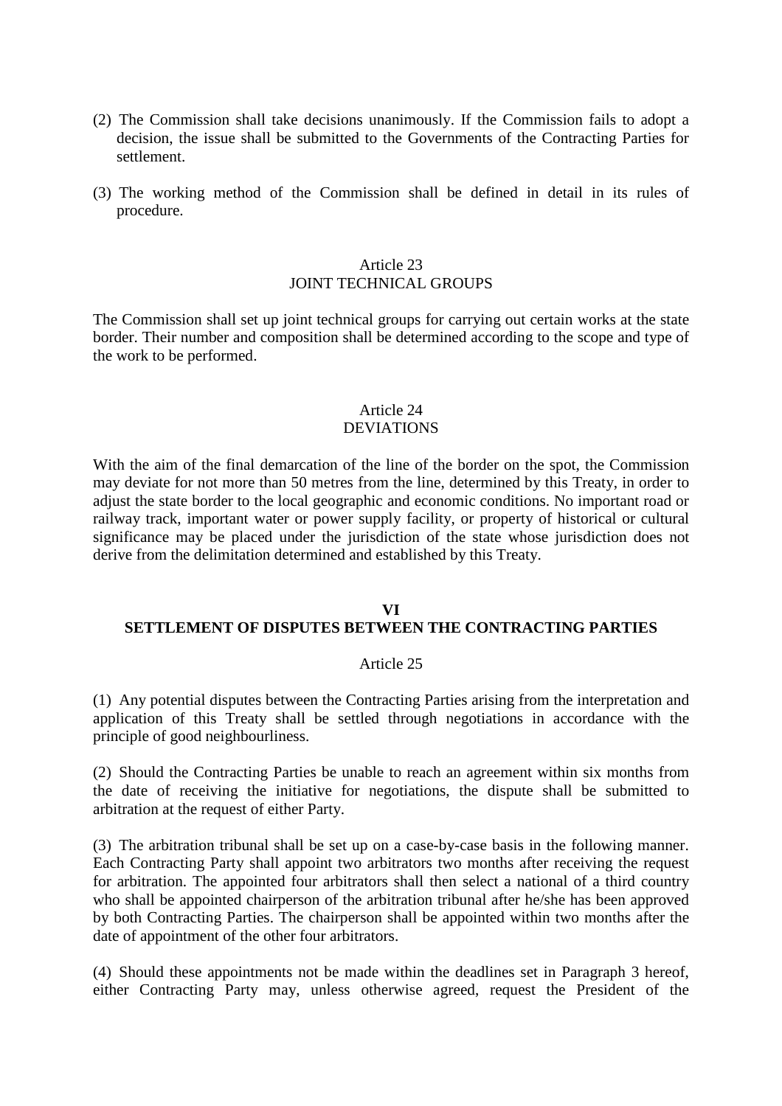- (2) The Commission shall take decisions unanimously. If the Commission fails to adopt a decision, the issue shall be submitted to the Governments of the Contracting Parties for settlement.
- (3) The working method of the Commission shall be defined in detail in its rules of procedure.

## Article 23 JOINT TECHNICAL GROUPS

The Commission shall set up joint technical groups for carrying out certain works at the state border. Their number and composition shall be determined according to the scope and type of the work to be performed.

## Article 24 DEVIATIONS

With the aim of the final demarcation of the line of the border on the spot, the Commission may deviate for not more than 50 metres from the line, determined by this Treaty, in order to adjust the state border to the local geographic and economic conditions. No important road or railway track, important water or power supply facility, or property of historical or cultural significance may be placed under the jurisdiction of the state whose jurisdiction does not derive from the delimitation determined and established by this Treaty.

## **VI SETTLEMENT OF DISPUTES BETWEEN THE CONTRACTING PARTIES**

## Article 25

(1) Any potential disputes between the Contracting Parties arising from the interpretation and application of this Treaty shall be settled through negotiations in accordance with the principle of good neighbourliness.

(2) Should the Contracting Parties be unable to reach an agreement within six months from the date of receiving the initiative for negotiations, the dispute shall be submitted to arbitration at the request of either Party.

(3) The arbitration tribunal shall be set up on a case-by-case basis in the following manner. Each Contracting Party shall appoint two arbitrators two months after receiving the request for arbitration. The appointed four arbitrators shall then select a national of a third country who shall be appointed chairperson of the arbitration tribunal after he/she has been approved by both Contracting Parties. The chairperson shall be appointed within two months after the date of appointment of the other four arbitrators.

(4) Should these appointments not be made within the deadlines set in Paragraph 3 hereof, either Contracting Party may, unless otherwise agreed, request the President of the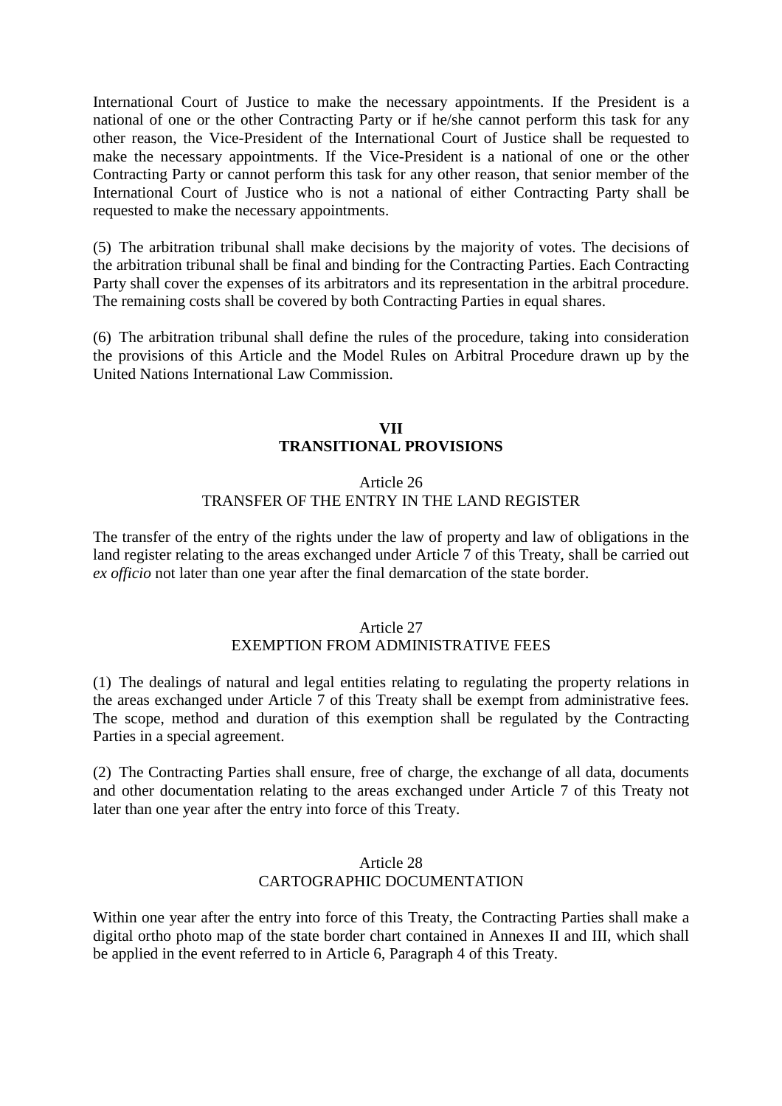International Court of Justice to make the necessary appointments. If the President is a national of one or the other Contracting Party or if he/she cannot perform this task for any other reason, the Vice-President of the International Court of Justice shall be requested to make the necessary appointments. If the Vice-President is a national of one or the other Contracting Party or cannot perform this task for any other reason, that senior member of the International Court of Justice who is not a national of either Contracting Party shall be requested to make the necessary appointments.

(5) The arbitration tribunal shall make decisions by the majority of votes. The decisions of the arbitration tribunal shall be final and binding for the Contracting Parties. Each Contracting Party shall cover the expenses of its arbitrators and its representation in the arbitral procedure. The remaining costs shall be covered by both Contracting Parties in equal shares.

(6) The arbitration tribunal shall define the rules of the procedure, taking into consideration the provisions of this Article and the Model Rules on Arbitral Procedure drawn up by the United Nations International Law Commission.

# **VII TRANSITIONAL PROVISIONS**

## Article 26 TRANSFER OF THE ENTRY IN THE LAND REGISTER

The transfer of the entry of the rights under the law of property and law of obligations in the land register relating to the areas exchanged under Article 7 of this Treaty, shall be carried out *ex officio* not later than one year after the final demarcation of the state border.

## Article 27 EXEMPTION FROM ADMINISTRATIVE FEES

(1) The dealings of natural and legal entities relating to regulating the property relations in the areas exchanged under Article 7 of this Treaty shall be exempt from administrative fees. The scope, method and duration of this exemption shall be regulated by the Contracting Parties in a special agreement.

(2) The Contracting Parties shall ensure, free of charge, the exchange of all data, documents and other documentation relating to the areas exchanged under Article 7 of this Treaty not later than one year after the entry into force of this Treaty.

## Article 28 CARTOGRAPHIC DOCUMENTATION

Within one year after the entry into force of this Treaty, the Contracting Parties shall make a digital ortho photo map of the state border chart contained in Annexes II and III, which shall be applied in the event referred to in Article 6, Paragraph 4 of this Treaty.